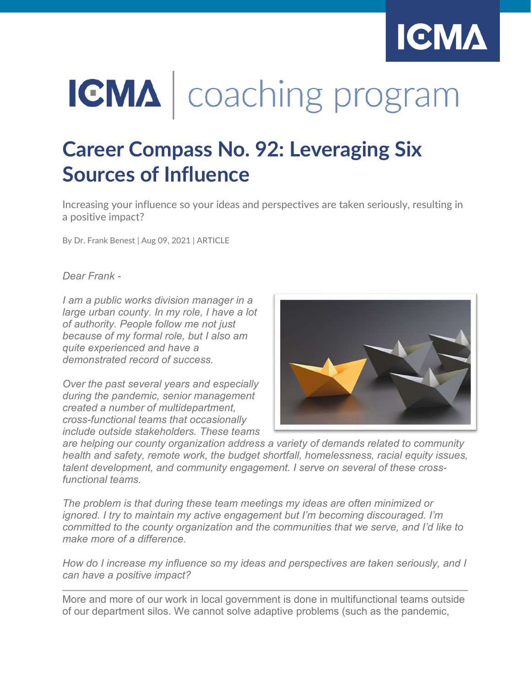

# **IGMA** | coaching program

## **Career Compass No. 92: Leveraging Six Sources of Influence**

Increasing your influence so your ideas and perspectives are taken seriously, resulting in a positive impact?

By Dr. Frank Benest | Aug 09, 2021 | ARTICLE

*Dear Frank -* 

*I am a public works division manager in a large urban county. In my role, I have a lot of authority. People follow me not just because of my formal role, but I also am quite experienced and have a demonstrated record of success.*

*Over the past several years and especially during the pandemic, senior management created a number of multidepartment, cross-functional teams that occasionally include outside stakeholders. These teams* 



*are helping our county organization address a variety of demands related to community health and safety, remote work, the budget shortfall, homelessness, racial equity issues, talent development, and community engagement. I serve on several of these crossfunctional teams.*

*The problem is that during these team meetings my ideas are often minimized or ignored. I try to maintain my active engagement but I'm becoming discouraged. I'm committed to the county organization and the communities that we serve, and I'd like to make more of a difference.*

*How do I increase my influence so my ideas and perspectives are taken seriously, and I can have a positive impact?*

More and more of our work in local government is done in multifunctional teams outside of our department silos. We cannot solve adaptive problems (such as the pandemic,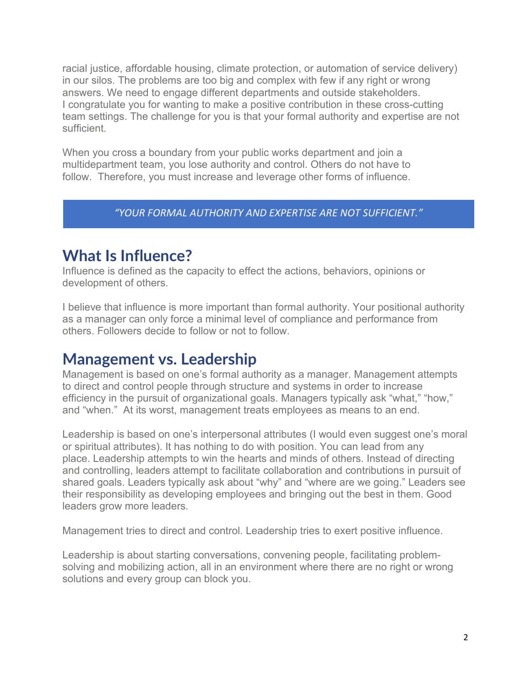racial justice, affordable housing, climate protection, or automation of service delivery) in our silos. The problems are too big and complex with few if any right or wrong answers. We need to engage different departments and outside stakeholders. I congratulate you for wanting to make a positive contribution in these cross-cutting team settings. The challenge for you is that your formal authority and expertise are not sufficient.

When you cross a boundary from your public works department and join a multidepartment team, you lose authority and control. Others do not have to follow. Therefore, you must increase and leverage other forms of influence.

#### *"YOUR FORMAL AUTHORITY AND EXPERTISE ARE NOT SUFFICIENT."*

## **What Is Influence?**

Influence is defined as the capacity to effect the actions, behaviors, opinions or development of others.

I believe that influence is more important than formal authority. Your positional authority as a manager can only force a minimal level of compliance and performance from others. Followers decide to follow or not to follow.

### **Management vs. Leadership**

Management is based on one's formal authority as a manager. Management attempts to direct and control people through structure and systems in order to increase efficiency in the pursuit of organizational goals. Managers typically ask "what," "how," and "when." At its worst, management treats employees as means to an end.

Leadership is based on one's interpersonal attributes (I would even suggest one's moral or spiritual attributes). It has nothing to do with position. You can lead from any place. Leadership attempts to win the hearts and minds of others. Instead of directing and controlling, leaders attempt to facilitate collaboration and contributions in pursuit of shared goals. Leaders typically ask about "why" and "where are we going." Leaders see their responsibility as developing employees and bringing out the best in them. Good leaders grow more leaders.

Management tries to direct and control. Leadership tries to exert positive influence.

Leadership is about starting conversations, convening people, facilitating problemsolving and mobilizing action, all in an environment where there are no right or wrong solutions and every group can block you.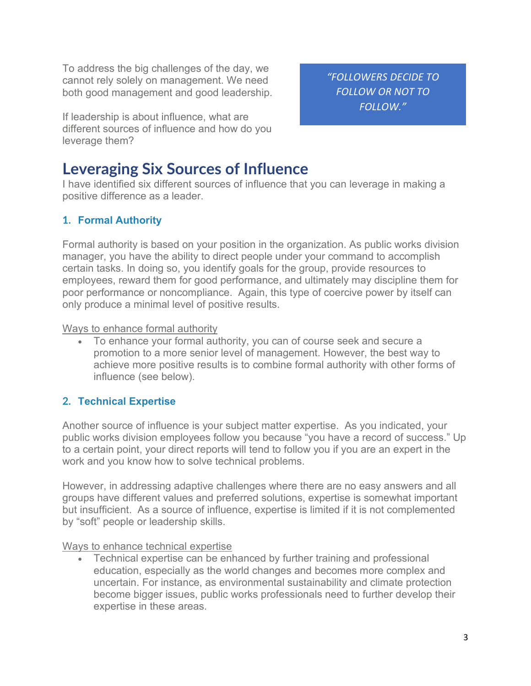To address the big challenges of the day, we cannot rely solely on management. We need both good management and good leadership.

If leadership is about influence, what are different sources of influence and how do you leverage them?

**Leveraging Six Sources of Influence**

I have identified six different sources of influence that you can leverage in making a positive difference as a leader.

#### **1. Formal Authority**

Formal authority is based on your position in the organization. As public works division manager, you have the ability to direct people under your command to accomplish certain tasks. In doing so, you identify goals for the group, provide resources to employees, reward them for good performance, and ultimately may discipline them for poor performance or noncompliance. Again, this type of coercive power by itself can only produce a minimal level of positive results.

Ways to enhance formal authority

• To enhance your formal authority, you can of course seek and secure a promotion to a more senior level of management. However, the best way to achieve more positive results is to combine formal authority with other forms of influence (see below).

#### **2. Technical Expertise**

Another source of influence is your subject matter expertise. As you indicated, your public works division employees follow you because "you have a record of success." Up to a certain point, your direct reports will tend to follow you if you are an expert in the work and you know how to solve technical problems.

However, in addressing adaptive challenges where there are no easy answers and all groups have different values and preferred solutions, expertise is somewhat important but insufficient. As a source of influence, expertise is limited if it is not complemented by "soft" people or leadership skills.

Ways to enhance technical expertise

• Technical expertise can be enhanced by further training and professional education, especially as the world changes and becomes more complex and uncertain. For instance, as environmental sustainability and climate protection become bigger issues, public works professionals need to further develop their expertise in these areas.

*"FOLLOWERS DECIDE TO FOLLOW OR NOT TO FOLLOW."*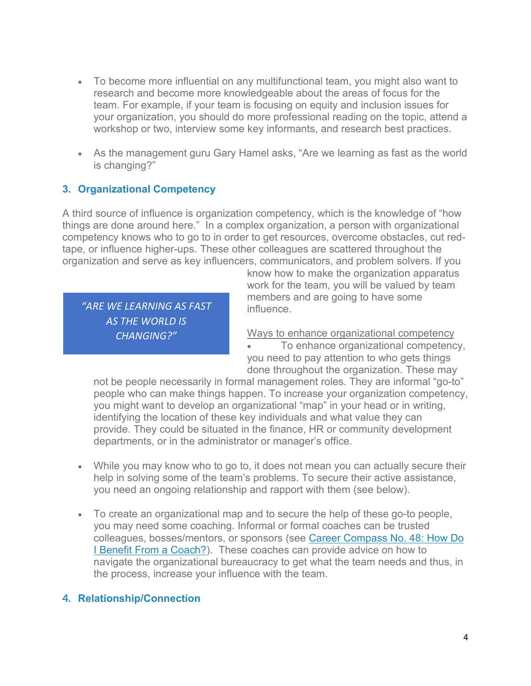- To become more influential on any multifunctional team, you might also want to research and become more knowledgeable about the areas of focus for the team. For example, if your team is focusing on equity and inclusion issues for your organization, you should do more professional reading on the topic, attend a workshop or two, interview some key informants, and research best practices.
- As the management guru Gary Hamel asks, "Are we learning as fast as the world is changing?"

#### **3. Organizational Competency**

A third source of influence is organization competency, which is the knowledge of "how things are done around here." In a complex organization, a person with organizational competency knows who to go to in order to get resources, overcome obstacles, cut redtape, or influence higher-ups. These other colleagues are scattered throughout the organization and serve as key influencers, communicators, and problem solvers. If you

*"ARE WE LEARNING AS FAST AS THE WORLD IS CHANGING?"*

know how to make the organization apparatus work for the team, you will be valued by team members and are going to have some influence.

Ways to enhance organizational competency

• To enhance organizational competency, you need to pay attention to who gets things done throughout the organization. These may

not be people necessarily in formal management roles. They are informal "go-to" people who can make things happen. To increase your organization competency, you might want to develop an organizational "map" in your head or in writing, identifying the location of these key individuals and what value they can provide. They could be situated in the finance, HR or community development departments, or in the administrator or manager's office.

- While you may know who to go to, it does not mean you can actually secure their help in solving some of the team's problems. To secure their active assistance, you need an ongoing relationship and rapport with them (see below).
- To create an organizational map and to secure the help of these go-to people, you may need some coaching. Informal or formal coaches can be trusted colleagues, bosses/mentors, or sponsors (see [Career Compass No. 48: How Do](https://icma.org/articles/article/career-compass-no-48-how-do-i-benefit-coach)  [I Benefit From a Coach?\)](https://icma.org/articles/article/career-compass-no-48-how-do-i-benefit-coach). These coaches can provide advice on how to navigate the organizational bureaucracy to get what the team needs and thus, in the process, increase your influence with the team.

#### **4. Relationship/Connection**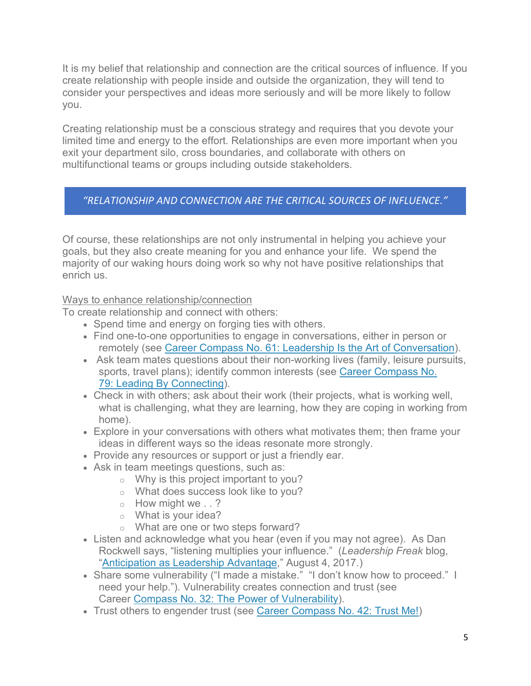It is my belief that relationship and connection are the critical sources of influence. If you create relationship with people inside and outside the organization, they will tend to consider your perspectives and ideas more seriously and will be more likely to follow you.

Creating relationship must be a conscious strategy and requires that you devote your limited time and energy to the effort. Relationships are even more important when you exit your department silo, cross boundaries, and collaborate with others on multifunctional teams or groups including outside stakeholders.

#### *"RELATIONSHIP AND CONNECTION ARE THE CRITICAL SOURCES OF INFLUENCE."*

Of course, these relationships are not only instrumental in helping you achieve your goals, but they also create meaning for you and enhance your life. We spend the majority of our waking hours doing work so why not have positive relationships that enrich us.

#### Ways to enhance relationship/connection

To create relationship and connect with others:

- Spend time and energy on forging ties with others.
- Find one-to-one opportunities to engage in conversations, either in person or remotely (see Career Compass No. 61: [Leadership Is the Art of Conversation\)](https://icma.org/articles/article/career-compass-no-61-leadership-art-conversation).
- Ask team mates questions about their non-working lives (family, leisure pursuits, sports, travel plans); identify common interests (see [Career Compass No.](https://icma.org/articles/article/career-compass-no-79-leading-connecting)  79: [Leading By Connecting\)](https://icma.org/articles/article/career-compass-no-79-leading-connecting).
- Check in with others; ask about their work (their projects, what is working well, what is challenging, what they are learning, how they are coping in working from home).
- Explore in your conversations with others what motivates them; then frame your ideas in different ways so the ideas resonate more strongly.
- Provide any resources or support or just a friendly ear.
- Ask in team meetings questions, such as:
	- o Why is this project important to you?
	- o What does success look like to you?
	- o How might we . . ?
	- o What is your idea?
	- o What are one or two steps forward?
- Listen and acknowledge what you hear (even if you may not agree). As Dan Rockwell says, "listening multiplies your influence." (*Leadership Freak* blog, ["Anticipation as Leadership Advantage,](https://leadershipfreak.blog/2017/08/04/anticipation-as-leadership-advantage/)" August 4, 2017.)
- Share some vulnerability ("I made a mistake." "I don't know how to proceed." I need your help."). Vulnerability creates connection and trust (see Career Compass No. 32: [The Power of Vulnerability\)](https://icma.org/articles/article/career-compass-no-32-power-vulnerability).
- Trust others to engender trust (see Career [Compass No. 42: Trust Me!\)](https://icma.org/articles/article/career-compass-no-42-trust-me)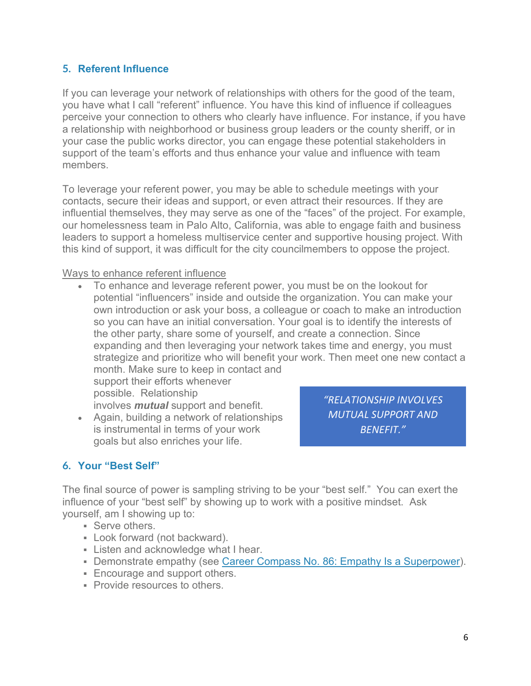#### **5. Referent Influence**

If you can leverage your network of relationships with others for the good of the team, you have what I call "referent" influence. You have this kind of influence if colleagues perceive your connection to others who clearly have influence. For instance, if you have a relationship with neighborhood or business group leaders or the county sheriff, or in your case the public works director, you can engage these potential stakeholders in support of the team's efforts and thus enhance your value and influence with team members.

To leverage your referent power, you may be able to schedule meetings with your contacts, secure their ideas and support, or even attract their resources. If they are influential themselves, they may serve as one of the "faces" of the project. For example, our homelessness team in Palo Alto, California, was able to engage faith and business leaders to support a homeless multiservice center and supportive housing project. With this kind of support, it was difficult for the city councilmembers to oppose the project.

#### Ways to enhance referent influence

• To enhance and leverage referent power, you must be on the lookout for potential "influencers" inside and outside the organization. You can make your own introduction or ask your boss, a colleague or coach to make an introduction so you can have an initial conversation. Your goal is to identify the interests of the other party, share some of yourself, and create a connection. Since expanding and then leveraging your network takes time and energy, you must strategize and prioritize who will benefit your work. Then meet one new contact a month. Make sure to keep in contact and

support their efforts whenever possible. Relationship involves *mutual* support and benefit.

• Again, building a network of relationships is instrumental in terms of your work goals but also enriches your life.

*"RELATIONSHIP INVOLVES MUTUAL SUPPORT AND BENEFIT."*

#### **6. Your "Best Self"**

The final source of power is sampling striving to be your "best self." You can exert the influence of your "best self" by showing up to work with a positive mindset. Ask yourself, am I showing up to:

- **Serve others.**
- Look forward (not backward).
- **EXA** Listen and acknowledge what I hear.
- Demonstrate empathy (see Career Compass No. 86: [Empathy Is a Superpower\)](https://icma.org/articles/article/career-compass-no-86-empathy-superpower).
- **Encourage and support others.**
- **Provide resources to others.**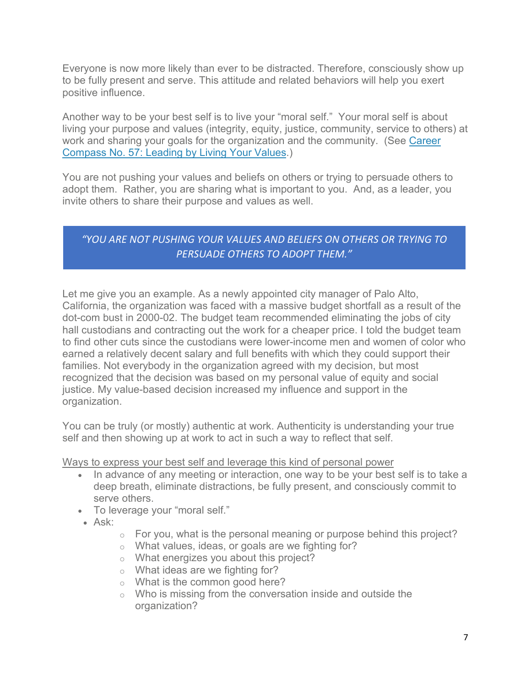Everyone is now more likely than ever to be distracted. Therefore, consciously show up to be fully present and serve. This attitude and related behaviors will help you exert positive influence.

Another way to be your best self is to live your "moral self." Your moral self is about living your purpose and values (integrity, equity, justice, community, service to others) at work and sharing your goals for the organization and the community. (See [Career](https://icma.org/articles/article/career-compass-no-57-leading-living-your-values)  [Compass No. 57: Leading by Living Your Values.](https://icma.org/articles/article/career-compass-no-57-leading-living-your-values))

You are not pushing your values and beliefs on others or trying to persuade others to adopt them. Rather, you are sharing what is important to you. And, as a leader, you invite others to share their purpose and values as well.

#### *"YOU ARE NOT PUSHING YOUR VALUES AND BELIEFS ON OTHERS OR TRYING TO PERSUADE OTHERS TO ADOPT THEM."*

Let me give you an example. As a newly appointed city manager of Palo Alto, California, the organization was faced with a massive budget shortfall as a result of the dot-com bust in 2000-02. The budget team recommended eliminating the jobs of city hall custodians and contracting out the work for a cheaper price. I told the budget team to find other cuts since the custodians were lower-income men and women of color who earned a relatively decent salary and full benefits with which they could support their families. Not everybody in the organization agreed with my decision, but most recognized that the decision was based on my personal value of equity and social justice. My value-based decision increased my influence and support in the organization.

You can be truly (or mostly) authentic at work. Authenticity is understanding your true self and then showing up at work to act in such a way to reflect that self.

Ways to express your best self and leverage this kind of personal power

- In advance of any meeting or interaction, one way to be your best self is to take a deep breath, eliminate distractions, be fully present, and consciously commit to serve others.
- To leverage your "moral self."
- Ask:
- $\circ$  For you, what is the personal meaning or purpose behind this project?
- o What values, ideas, or goals are we fighting for?
- o What energizes you about this project?
- o What ideas are we fighting for?
- o What is the common good here?
- $\circ$  Who is missing from the conversation inside and outside the organization?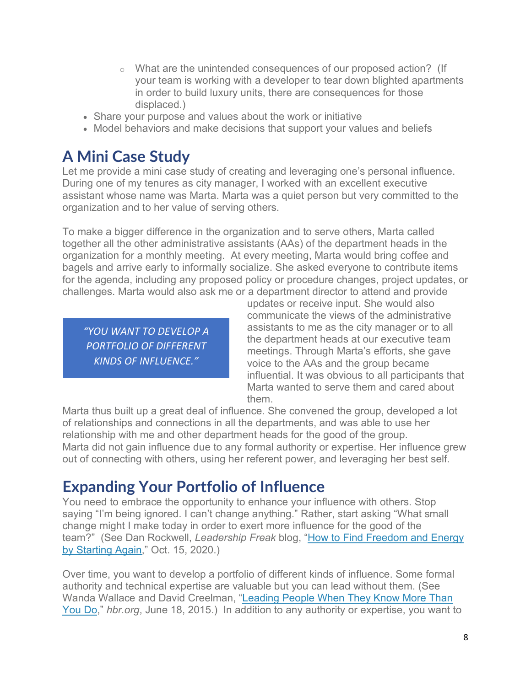- o What are the unintended consequences of our proposed action? (If your team is working with a developer to tear down blighted apartments in order to build luxury units, there are consequences for those displaced.)
- Share your purpose and values about the work or initiative
- Model behaviors and make decisions that support your values and beliefs

## **A Mini Case Study**

Let me provide a mini case study of creating and leveraging one's personal influence. During one of my tenures as city manager, I worked with an excellent executive assistant whose name was Marta. Marta was a quiet person but very committed to the organization and to her value of serving others.

To make a bigger difference in the organization and to serve others, Marta called together all the other administrative assistants (AAs) of the department heads in the organization for a monthly meeting. At every meeting, Marta would bring coffee and bagels and arrive early to informally socialize. She asked everyone to contribute items for the agenda, including any proposed policy or procedure changes, project updates, or challenges. Marta would also ask me or a department director to attend and provide

*"YOU WANT TO DEVELOP A PORTFOLIO OF DIFFERENT KINDS OF INFLUENCE."*

updates or receive input. She would also communicate the views of the administrative assistants to me as the city manager or to all the department heads at our executive team meetings. Through Marta's efforts, she gave voice to the AAs and the group became influential. It was obvious to all participants that Marta wanted to serve them and cared about them.

Marta thus built up a great deal of influence. She convened the group, developed a lot of relationships and connections in all the departments, and was able to use her relationship with me and other department heads for the good of the group. Marta did not gain influence due to any formal authority or expertise. Her influence grew out of connecting with others, using her referent power, and leveraging her best self.

## **Expanding Your Portfolio of Influence**

You need to embrace the opportunity to enhance your influence with others. Stop saying "I'm being ignored. I can't change anything." Rather, start asking "What small change might I make today in order to exert more influence for the good of the team?" (See Dan Rockwell, *Leadership Freak* blog, ["How to Find Freedom and Energy](https://leadershipfreak.blog/2020/10/05/how-to-find-freedom-and-energy-by-starting-again/)  [by Starting Again,](https://leadershipfreak.blog/2020/10/05/how-to-find-freedom-and-energy-by-starting-again/)" Oct. 15, 2020.)

Over time, you want to develop a portfolio of different kinds of influence. Some formal authority and technical expertise are valuable but you can lead without them. (See Wanda Wallace and David Creelman, ["Leading People When They Know More Than](https://hbr.org/2015/06/leading-people-when-they-know-more-than-you-do)  [You Do,](https://hbr.org/2015/06/leading-people-when-they-know-more-than-you-do)" *hbr.org*, June 18, 2015.) In addition to any authority or expertise, you want to